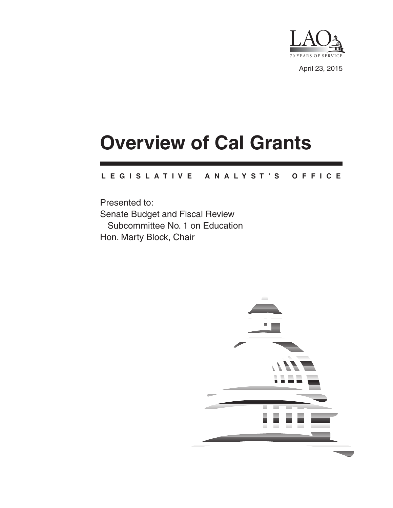

April 23, 2015

# **Overview of Cal Grants**

#### **L E G I S L A T I V E A N A L Y S T ' S O F F I C E**

Presented to: Senate Budget and Fiscal Review Subcommittee No. 1 on Education Hon. Marty Block, Chair

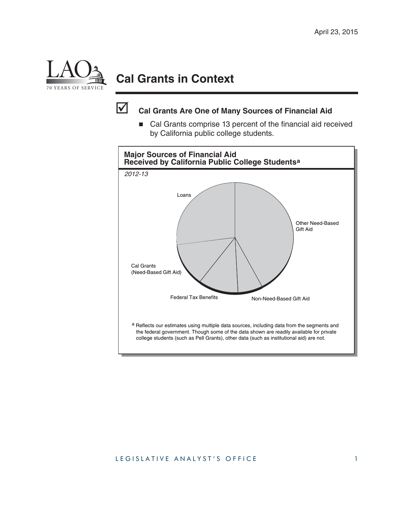

## **Cal Grants in Context**



### **Cal Grants Are One of Many Sources of Financial Aid**

■ Cal Grants comprise 13 percent of the financial aid received by California public college students.

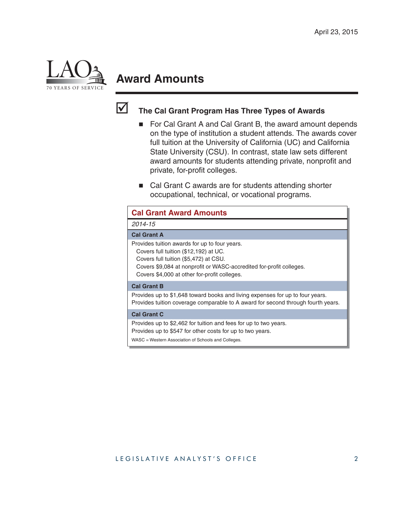

## **Award Amounts**



### **The Cal Grant Program Has Three Types of Awards**

- For Cal Grant A and Cal Grant B, the award amount depends on the type of institution a student attends. The awards cover full tuition at the University of California (UC) and California State University (CSU). In contrast, state law sets different award amounts for students attending private, nonprofit and private, for-profit colleges.
- Cal Grant C awards are for students attending shorter occupational, technical, or vocational programs.

| <b>Cal Grant Award Amounts</b>                                                                                                                                                                                                                         |                                                                                                                                                                   |
|--------------------------------------------------------------------------------------------------------------------------------------------------------------------------------------------------------------------------------------------------------|-------------------------------------------------------------------------------------------------------------------------------------------------------------------|
| 2014-15                                                                                                                                                                                                                                                |                                                                                                                                                                   |
| <b>Cal Grant A</b>                                                                                                                                                                                                                                     |                                                                                                                                                                   |
| Provides tuition awards for up to four years.<br>Covers full tuition (\$12,192) at UC.<br>Covers full tuition (\$5,472) at CSU.<br>Covers \$9,084 at nonprofit or WASC-accredited for-profit colleges.<br>Covers \$4,000 at other for-profit colleges. |                                                                                                                                                                   |
| <b>Cal Grant B</b>                                                                                                                                                                                                                                     |                                                                                                                                                                   |
|                                                                                                                                                                                                                                                        | Provides up to \$1,648 toward books and living expenses for up to four years.<br>Provides tuition coverage comparable to A award for second through fourth years. |
| <b>Cal Grant C</b>                                                                                                                                                                                                                                     |                                                                                                                                                                   |
| Provides up to \$2,462 for tuition and fees for up to two years.<br>Provides up to \$547 for other costs for up to two years.<br>WASC = Western Association of Schools and Colleges.                                                                   |                                                                                                                                                                   |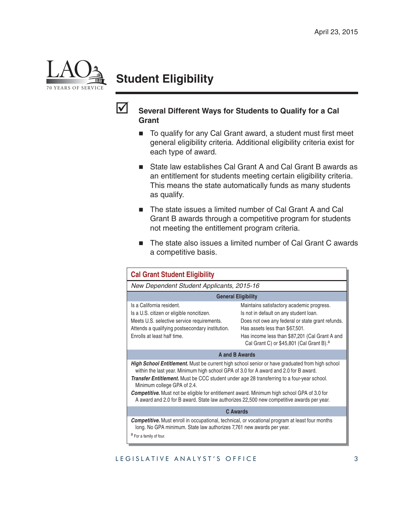

## **Student Eligibility**



#### **Several Different Ways for Students to Qualify for a Cal Grant**

- $\blacksquare$  To qualify for any Cal Grant award, a student must first meet general eligibility criteria. Additional eligibility criteria exist for each type of award.
- State law establishes Cal Grant A and Cal Grant B awards as an entitlement for students meeting certain eligibility criteria. This means the state automatically funds as many students as qualify.
- The state issues a limited number of Cal Grant A and Cal Grant B awards through a competitive program for students not meeting the entitlement program criteria.
- The state also issues a limited number of Cal Grant C awards a competitive basis.

| <b>Cal Grant Student Eligibility</b>                                                                                                                                                                                                                                                                                                                                                                                                                                                                                           |                                                                                                                                                                                                                                                                                     |  |  |
|--------------------------------------------------------------------------------------------------------------------------------------------------------------------------------------------------------------------------------------------------------------------------------------------------------------------------------------------------------------------------------------------------------------------------------------------------------------------------------------------------------------------------------|-------------------------------------------------------------------------------------------------------------------------------------------------------------------------------------------------------------------------------------------------------------------------------------|--|--|
| New Dependent Student Applicants, 2015-16                                                                                                                                                                                                                                                                                                                                                                                                                                                                                      |                                                                                                                                                                                                                                                                                     |  |  |
| <b>General Eligibility</b>                                                                                                                                                                                                                                                                                                                                                                                                                                                                                                     |                                                                                                                                                                                                                                                                                     |  |  |
| Is a California resident.<br>Is a U.S. citizen or eligible noncitizen.<br>Meets U.S. selective service requirements.<br>Attends a qualifying postsecondary institution.<br>Enrolls at least half time.                                                                                                                                                                                                                                                                                                                         | Maintains satisfactory academic progress.<br>Is not in default on any student loan.<br>Does not owe any federal or state grant refunds.<br>Has assets less than \$67,501.<br>Has income less than \$87,201 (Cal Grant A and<br>Cal Grant C) or \$45,801 (Cal Grant B). <sup>a</sup> |  |  |
| <b>A and B Awards</b>                                                                                                                                                                                                                                                                                                                                                                                                                                                                                                          |                                                                                                                                                                                                                                                                                     |  |  |
| <b>High School Entitlement.</b> Must be current high school senior or have graduated from high school<br>within the last year. Minimum high school GPA of 3.0 for A award and 2.0 for B award.<br>Transfer Entitlement. Must be CCC student under age 28 transferring to a four-year school.<br>Minimum college GPA of 2.4.<br><b>Competitive.</b> Must not be eligible for entitlement award. Minimum high school GPA of 3.0 for<br>A award and 2.0 for B award. State law authorizes 22,500 new competitive awards per year. |                                                                                                                                                                                                                                                                                     |  |  |
| <b>C</b> Awards                                                                                                                                                                                                                                                                                                                                                                                                                                                                                                                |                                                                                                                                                                                                                                                                                     |  |  |
| <b>Competitive.</b> Must enroll in occupational, technical, or vocational program at least four months<br>long. No GPA minimum. State law authorizes 7,761 new awards per year.<br>a For a family of four.                                                                                                                                                                                                                                                                                                                     |                                                                                                                                                                                                                                                                                     |  |  |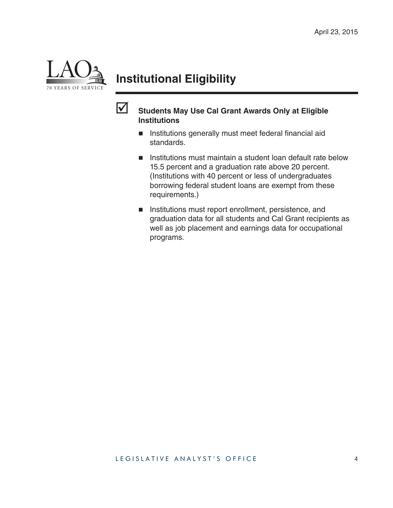

## **Institutional Eligibility**



### **Students May Use Cal Grant Awards Only at Eligible Institutions**

- **Institutions generally must meet federal financial aid** standards.
- **Institutions must maintain a student loan default rate below** 15.5 percent and a graduation rate above 20 percent. (Institutions with 40 percent or less of undergraduates borrowing federal student loans are exempt from these requirements.)
- **Institutions must report enrollment, persistence, and** graduation data for all students and Cal Grant recipients as well as job placement and earnings data for occupational programs.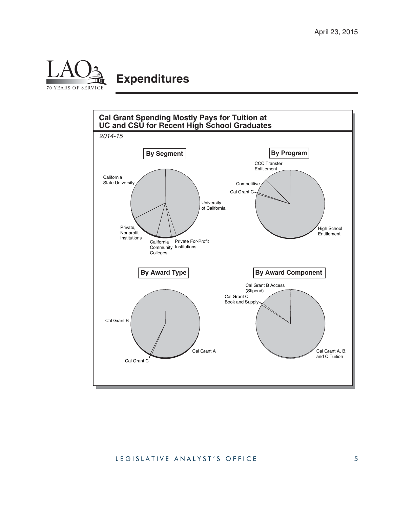

## **Expenditures**

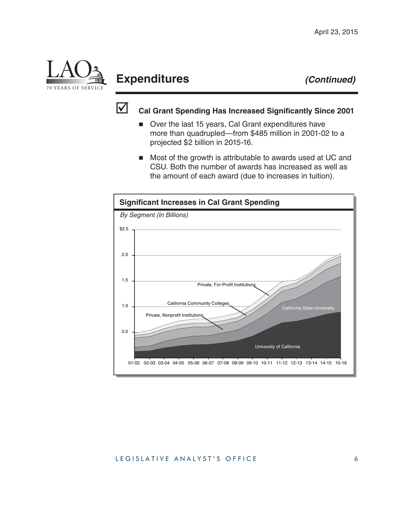

## **Expenditures** *(Continued)*



### **Cal Grant Spending Has Increased Significantly Since 2001**

- Over the last 15 years, Cal Grant expenditures have more than quadrupled—from \$485 million in 2001-02 to a projected \$2 billion in 2015-16.
- Most of the growth is attributable to awards used at UC and CSU. Both the number of awards has increased as well as the amount of each award (due to increases in tuition).